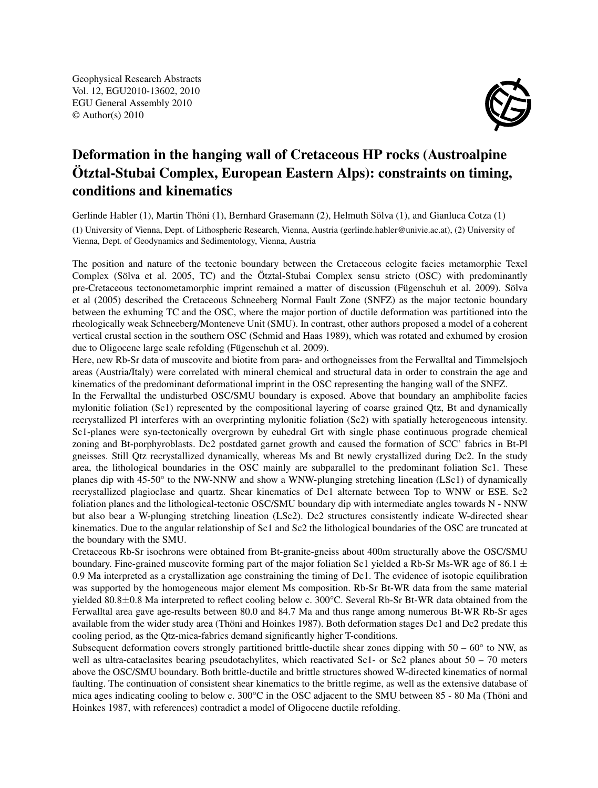Geophysical Research Abstracts Vol. 12, EGU2010-13602, 2010 EGU General Assembly 2010 © Author(s) 2010



## Deformation in the hanging wall of Cretaceous HP rocks (Austroalpine Ötztal-Stubai Complex, European Eastern Alps): constraints on timing, conditions and kinematics

Gerlinde Habler (1), Martin Thöni (1), Bernhard Grasemann (2), Helmuth Sölva (1), and Gianluca Cotza (1) (1) University of Vienna, Dept. of Lithospheric Research, Vienna, Austria (gerlinde.habler@univie.ac.at), (2) University of Vienna, Dept. of Geodynamics and Sedimentology, Vienna, Austria

The position and nature of the tectonic boundary between the Cretaceous eclogite facies metamorphic Texel Complex (Sölva et al. 2005, TC) and the Ötztal-Stubai Complex sensu stricto (OSC) with predominantly pre-Cretaceous tectonometamorphic imprint remained a matter of discussion (Fügenschuh et al. 2009). Sölva et al (2005) described the Cretaceous Schneeberg Normal Fault Zone (SNFZ) as the major tectonic boundary between the exhuming TC and the OSC, where the major portion of ductile deformation was partitioned into the rheologically weak Schneeberg/Monteneve Unit (SMU). In contrast, other authors proposed a model of a coherent vertical crustal section in the southern OSC (Schmid and Haas 1989), which was rotated and exhumed by erosion due to Oligocene large scale refolding (Fügenschuh et al. 2009).

Here, new Rb-Sr data of muscovite and biotite from para- and orthogneisses from the Ferwalltal and Timmelsjoch areas (Austria/Italy) were correlated with mineral chemical and structural data in order to constrain the age and kinematics of the predominant deformational imprint in the OSC representing the hanging wall of the SNFZ.

In the Ferwalltal the undisturbed OSC/SMU boundary is exposed. Above that boundary an amphibolite facies mylonitic foliation (Sc1) represented by the compositional layering of coarse grained Qtz, Bt and dynamically recrystallized Pl interferes with an overprinting mylonitic foliation (Sc2) with spatially heterogeneous intensity. Sc1-planes were syn-tectonically overgrown by euhedral Grt with single phase continuous prograde chemical zoning and Bt-porphyroblasts. Dc2 postdated garnet growth and caused the formation of SCC' fabrics in Bt-Pl gneisses. Still Qtz recrystallized dynamically, whereas Ms and Bt newly crystallized during Dc2. In the study area, the lithological boundaries in the OSC mainly are subparallel to the predominant foliation Sc1. These planes dip with 45-50° to the NW-NNW and show a WNW-plunging stretching lineation (LSc1) of dynamically recrystallized plagioclase and quartz. Shear kinematics of Dc1 alternate between Top to WNW or ESE. Sc2 foliation planes and the lithological-tectonic OSC/SMU boundary dip with intermediate angles towards N - NNW but also bear a W-plunging stretching lineation (LSc2). Dc2 structures consistently indicate W-directed shear kinematics. Due to the angular relationship of Sc1 and Sc2 the lithological boundaries of the OSC are truncated at the boundary with the SMU.

Cretaceous Rb-Sr isochrons were obtained from Bt-granite-gneiss about 400m structurally above the OSC/SMU boundary. Fine-grained muscovite forming part of the major foliation Sc1 yielded a Rb-Sr Ms-WR age of 86.1  $\pm$ 0.9 Ma interpreted as a crystallization age constraining the timing of Dc1. The evidence of isotopic equilibration was supported by the homogeneous major element Ms composition. Rb-Sr Bt-WR data from the same material yielded 80.8±0.8 Ma interpreted to reflect cooling below c. 300°C. Several Rb-Sr Bt-WR data obtained from the Ferwalltal area gave age-results between 80.0 and 84.7 Ma and thus range among numerous Bt-WR Rb-Sr ages available from the wider study area (Thöni and Hoinkes 1987). Both deformation stages Dc1 and Dc2 predate this cooling period, as the Qtz-mica-fabrics demand significantly higher T-conditions.

Subsequent deformation covers strongly partitioned brittle-ductile shear zones dipping with  $50 - 60^\circ$  to NW, as well as ultra-cataclasites bearing pseudotachylites, which reactivated Sc1- or Sc2 planes about  $50 - 70$  meters above the OSC/SMU boundary. Both brittle-ductile and brittle structures showed W-directed kinematics of normal faulting. The continuation of consistent shear kinematics to the brittle regime, as well as the extensive database of mica ages indicating cooling to below c. 300°C in the OSC adjacent to the SMU between 85 - 80 Ma (Thöni and Hoinkes 1987, with references) contradict a model of Oligocene ductile refolding.